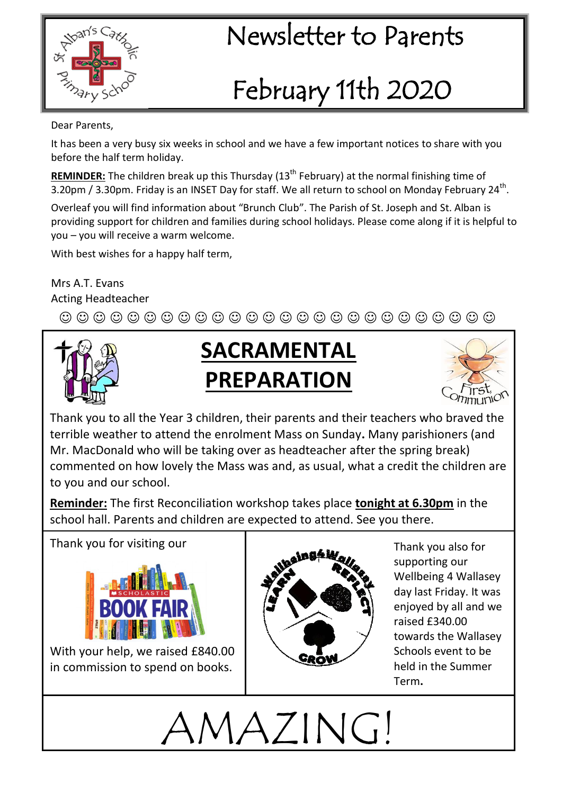

#### $\mathbb{R}^{\text{max}}$  Newsletter to Parents

# February 11th 2020

Dear Parents,

It has been a very busy six weeks in school and we have a few important notices to share with you before the half term holiday.

**REMINDER:** The children break up this Thursday (13<sup>th</sup> February) at the normal finishing time of 3.20pm / 3.30pm. Friday is an INSET Day for staff. We all return to school on Monday February 24<sup>th</sup>.

Overleaf you will find information about "Brunch Club". The Parish of St. Joseph and St. Alban is providing support for children and families during school holidays. Please come along if it is helpful to you – you will receive a warm welcome.

With best wishes for a happy half term,

Mrs A.T. Evans Acting Headteacher

 $\textcircled{\circ} \textcircled{\circ} \textcircled{\circ} \textcircled{\circ} \textcircled{\circ} \textcircled{\circ} \textcircled{\circ} \textcircled{\circ} \textcircled{\circ} \textcircled{\circ} \textcircled{\circ} \textcircled{\circ} \textcircled{\circ} \textcircled{\circ} \textcircled{\circ} \textcircled{\circ} \textcircled{\circ}$ 



#### **SACRAMENTAL PREPARATION**



Thank you to all the Year 3 children, their parents and their teachers who braved the terrible weather to attend the enrolment Mass on Sunday**.** Many parishioners (and Mr. MacDonald who will be taking over as headteacher after the spring break) commented on how lovely the Mass was and, as usual, what a credit the children are to you and our school.

**Reminder:** The first Reconciliation workshop takes place **tonight at 6.30pm** in the school hall. Parents and children are expected to attend. See you there.

Thank you for visiting our



With your help, we raised £840.00 in commission to spend on books.



Thank you also for supporting our Wellbeing 4 Wallasey day last Friday. It was enjoyed by all and we raised £340.00 towards the Wallasey Schools event to be held in the Summer Term**.**

AMAZING!